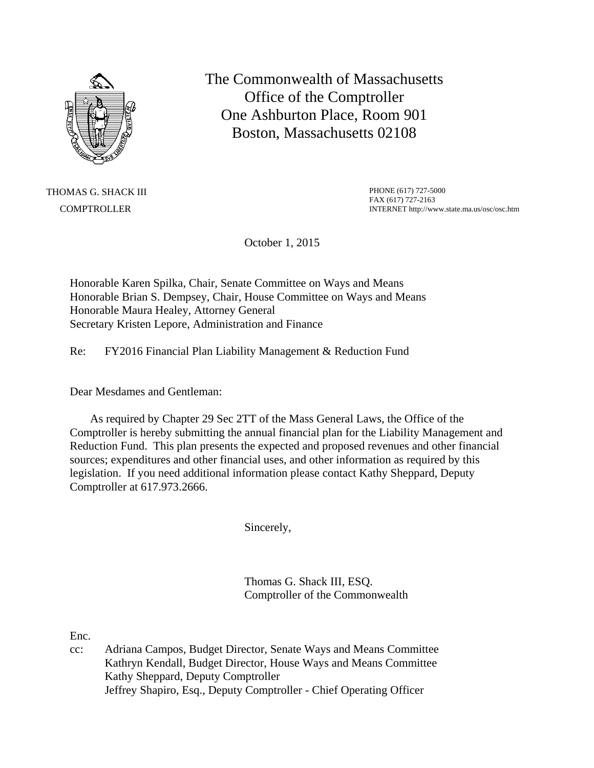

The Commonwealth of Massachusetts Office of the Comptroller One Ashburton Place, Room 901 Boston, Massachusetts 02108

THOMAS G. SHACK III **COMPTROLLER** 

PHONE (617) 727-5000 FAX (617) 727-2163 INTERNET http://www.state.ma.us/osc/osc.htm

October 1, 2015

Honorable Karen Spilka, Chair, Senate Committee on Ways and Means Honorable Brian S. Dempsey, Chair, House Committee on Ways and Means Honorable Maura Healey, Attorney General Secretary Kristen Lepore, Administration and Finance

Re: FY2016 Financial Plan Liability Management & Reduction Fund

Dear Mesdames and Gentleman:

 As required by Chapter 29 Sec 2TT of the Mass General Laws, the Office of the Comptroller is hereby submitting the annual financial plan for the Liability Management and Reduction Fund. This plan presents the expected and proposed revenues and other financial sources; expenditures and other financial uses, and other information as required by this legislation. If you need additional information please contact Kathy Sheppard, Deputy Comptroller at 617.973.2666.

Sincerely,

Thomas G. Shack III, ESQ. Comptroller of the Commonwealth

Enc.

cc: Adriana Campos, Budget Director, Senate Ways and Means Committee Kathryn Kendall, Budget Director, House Ways and Means Committee Kathy Sheppard, Deputy Comptroller Jeffrey Shapiro, Esq., Deputy Comptroller - Chief Operating Officer